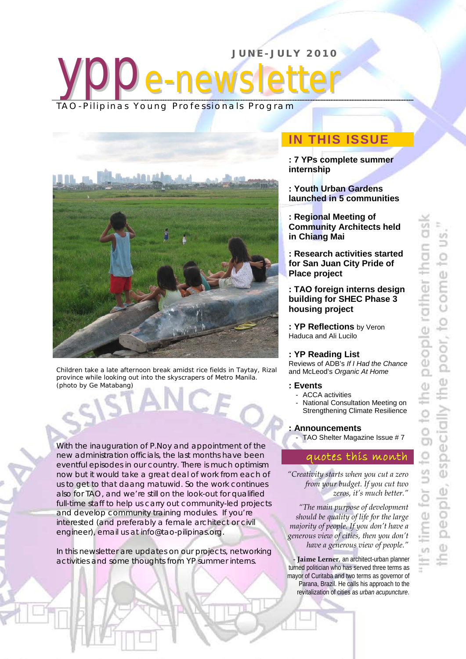**JUNE - JULY 2 0 1 0**

e-newsletter



TAO - Pilipinas Young Professionals Program

ypp

Children take a late afternoon break amidst rice fields in Taytay, Rizal province while looking out into the skyscrapers of Metro Manila. *(photo by Ge Matabang)*

With the inauguration of P.Noy and appointment of the new administration officials, the last months have been eventful episodes in our country. There is much optimism now but it would take a great deal of work from each of us to get to that *daang matuwid*. So the work continues also for TAO, and we're still on the look-out for qualified full-time staff to help us carry out community-led projects and develop community training modules. If you're interested (and preferably a female architect or civil engineer), email us at info@tao-pilipinas.org.

In this newsletter are updates on our projects, networking activities and some thoughts from YP summer interns.

# **IN THIS ISSUE**

**: 7 YPs complete summer internship**

**: Youth Urban Gardens launched in 5 communities**

**: Regional Meeting of Community Architects held in Chiang Mai**

**: Research activities started for San Juan City Pride of Place project**

**: TAO foreign interns design building for SHEC Phase 3 housing project**

**: YP Reflections** by Veron Haduca and Ali Lucilo

## **: YP Reading List**

Reviews of ADB's *If I Had the Chance* and McLeod's *Organic At Home*

#### **: Events**

- ACCA activities National Consultation Meeting on
- Strengthening Climate Resilience

#### **: Announcements**

TAO Shelter Magazine Issue # 7

### month

*"Creativity starts when you cut a zero from your budget. If you cut two zeros, it's much better."*

*"The main purpose of development should be quality of life for the large majority of people. If you don't have a generous view of cities, then you don't have a generous view of people."*

- **Jaime Lerner**, an architect-urban planner turned politician who has served three terms as mayor of Curitaba and two terms as governor of Parana, Brazil. He calls his approach to the revitalization of cities as *urban acupuncture*.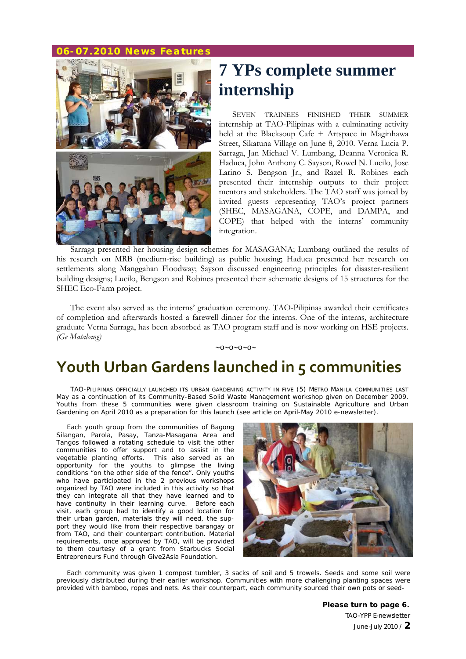#### **0 6 - 0 7 .2010 News Features**



# **7 YPs complete summer internship**

SEVEN TRAINEES FINISHED THEIR SUMMER internship at TAO-Pilipinas with a culminating activity held at the Blacksoup Cafe + Artspace in Maginhawa Street, Sikatuna Village on June 8, 2010. Verna Lucia P. Sarraga, Jan Michael V. Lumbang, Deanna Veronica R. Haduca, John Anthony C. Sayson, Rowel N. Lucilo, Jose Larino S. Bengson Jr., and Razel R. Robines each presented their internship outputs to their project mentors and stakeholders. The TAO staff was joined by invited guests representing TAO's project partners (SHEC, MASAGANA, COPE, and DAMPA, and COPE) that helped with the interns' community integration.

Sarraga presented her housing design schemes for MASAGANA; Lumbang outlined the results of his research on MRB (medium-rise building) as public housing; Haduca presented her research on settlements along Manggahan Floodway; Sayson discussed engineering principles for disaster-resilient building designs; Lucilo, Bengson and Robines presented their schematic designs of 15 structures for the SHEC Eco-Farm project.

The event also served as the interns' graduation ceremony. TAO-Pilipinas awarded their certificates of completion and afterwards hosted a farewell dinner for the interns. One of the interns, architecture graduate Verna Sarraga, has been absorbed as TAO program staff and is now working on HSE projects. *(Ge Matabang)*

#### ∼o∼o∼o∼o∼

# **Youth Urban Gardens launched in 5 communities**

TAO-PILIPINAS OFFICIALLY LAUNCHED ITS URBAN GARDENING ACTIVITY IN FIVE (5) METRO MANILA COMMUNITIES LAST May as a continuation of its Community-Based Solid Waste Management workshop given on December 2009. Youths from these 5 communities were given classroom training on Sustainable Agriculture and Urban Gardening on April 2010 as a preparation for this launch *(see article on April-May 2010 e-newsletter).*

Each youth group from the communities of Bagong Silangan, Parola, Pasay, Tanza-Masagana Area and Tangos followed a rotating schedule to visit the other communities to offer support and to assist in the vegetable planting efforts. This also served as an opportunity for the youths to glimpse the living conditions "on the other side of the fence". Only youths who have participated in the 2 previous workshops organized by TAO were included in this activity so that they can integrate all that they have learned and to have continuity in their learning curve. Before each visit, each group had to identify a good location for their urban garden, materials they will need, the support they would like from their respective barangay or from TAO, and their counterpart contribution. Material requirements, once approved by TAO, will be provided to them courtesy of a grant from Starbucks Social Entrepreneurs Fund through Give2Asia Foundation.



Each community was given 1 compost tumbler, 3 sacks of soil and 5 trowels. Seeds and some soil were previously distributed during their earlier workshop. Communities with more challenging planting spaces were provided with bamboo, ropes and nets. As their counterpart, each community sourced their own pots or seed-

> TAO-YPP E-newsletter June-July 2010 / **2 Please turn to page 6.**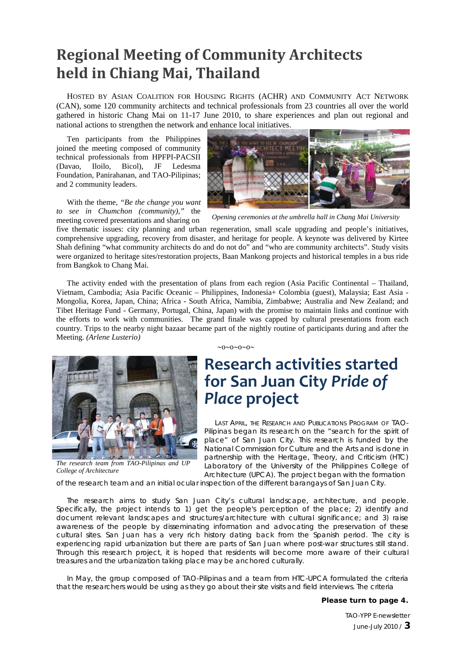# **Regional Meeting of Community Architects held in Chiang Mai, Thailand**

HOSTED BY ASIAN COALITION FOR HOUSING RIGHTS (ACHR) AND COMMUNITY ACT NETWORK (CAN), some 120 community architects and technical professionals from 23 countries all over the world gathered in historic Chang Mai on 11-17 June 2010, to share experiences and plan out regional and national actions to strengthen the network and enhance local initiatives.

Ten participants from the Philippines joined the meeting composed of community technical professionals from HPFPI-PACSII (Davao, Iloilo, Bicol), JF Ledesma Foundation, Panirahanan, and TAO-Pilipinas; and 2 community leaders.

With the theme, *"Be the change you want to see in Chumchon (community),"* the



meeting covered presentations and sharing on *Opening ceremonies at the umbrella hall in Chang Mai University* 

five thematic issues: city planning and urban regeneration, small scale upgrading and people's initiatives, comprehensive upgrading, recovery from disaster, and heritage for people. A keynote was delivered by Kirtee Shah defining "what community architects do and do not do" and "who are community architects". Study visits were organized to heritage sites/restoration projects, Baan Mankong projects and historical temples in a bus ride from Bangkok to Chang Mai.

The activity ended with the presentation of plans from each region (Asia Pacific Continental – Thailand, Vietnam, Cambodia; Asia Pacific Oceanic – Philippines, Indonesia+ Colombia (guest), Malaysia; East Asia - Mongolia, Korea, Japan, China; Africa - South Africa, Namibia, Zimbabwe; Australia and New Zealand; and Tibet Heritage Fund - Germany, Portugal, China, Japan) with the promise to maintain links and continue with the efforts to work with communities. The grand finale was capped by cultural presentations from each country. Trips to the nearby night bazaar became part of the nightly routine of participants during and after the Meeting. *(Arlene Lusterio)*



*The research team from TAO-Pilipinas and UP College of Architecture*

#### ∼o∼o∼o∼o∼

# **Research activities started for San Juan City** *Pride of Place* **project**

LAST APRIL, THE RESEARCH AND PUBLICATIONS PROGRAM OF TAO-Pilipinas began its research on the "search for the spirit of place" of San Juan City. This research is funded by the National Commission for Culture and the Arts and is done in partnership with the Heritage, Theory, and Criticism (HTC) Laboratory of the University of the Philippines College of Architecture (UPCA). The project began with the formation

of the research team and an initial ocular inspection of the different barangays of San Juan City.

The research aims to study San Juan City's cultural landscape, architecture, and people. Specifically, the project intends to 1) get the people's perception of the place; 2) identify and document relevant landscapes and structures/architecture with cultural significance; and 3) raise awareness of the people by disseminating information and advocating the preservation of these cultural sites. San Juan has a very rich history dating back from the Spanish period. The city is experiencing rapid urbanization but there are parts of San Juan where post-war structures still stand. Through this research project, it is hoped that residents will become more aware of their cultural treasures and the urbanization taking place may be anchored culturally.

In May, the group composed of TAO-Pilipinas and a team from HTC-UPCA formulated the criteria that the researchers would be using as they go about their site visits and field interviews. The criteria

#### **Please turn to page 4.**

TAO-YPP E-newsletter June-July 2010 / **3**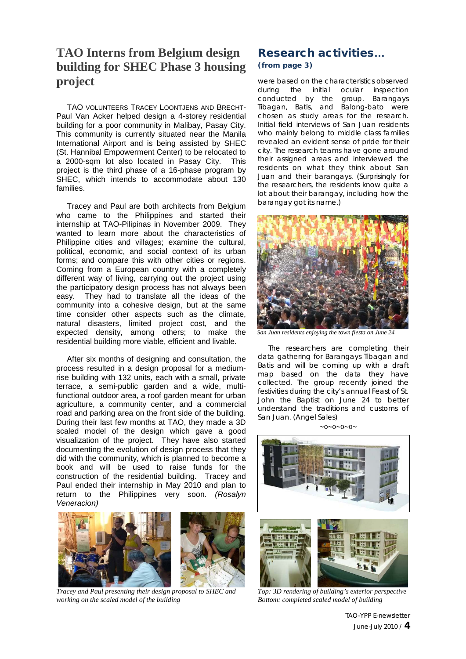# **TAO Interns from Belgium design building for SHEC Phase 3 housing project**

TAO VOLUNTEERS TRACEY LOONTJENS AND BRECHT-Paul Van Acker helped design a 4-storey residential building for a poor community in Malibay, Pasay City. This community is currently situated near the Manila International Airport and is being assisted by SHEC (St. Hannibal Empowerment Center) to be relocated to a 2000-sqm lot also located in Pasay City. This project is the third phase of a 16-phase program by SHEC, which intends to accommodate about 130 families.

Tracey and Paul are both architects from Belgium who came to the Philippines and started their internship at TAO-Pilipinas in November 2009. They wanted to learn more about the characteristics of Philippine cities and villages; examine the cultural, political, economic, and social context of its urban forms; and compare this with other cities or regions. Coming from a European country with a completely different way of living, carrying out the project using the participatory design process has not always been easy. They had to translate all the ideas of the community into a cohesive design, but at the same time consider other aspects such as the climate, natural disasters, limited project cost, and the expected density, among others; to make the residential building more viable, efficient and livable.

After six months of designing and consultation, the process resulted in a design proposal for a mediumrise building with 132 units, each with a small, private terrace, a semi-public garden and a wide, multifunctional outdoor area, a roof garden meant for urban agriculture, a community center, and a commercial road and parking area on the front side of the building. During their last few months at TAO, they made a 3D scaled model of the design which gave a good visualization of the project. They have also started documenting the evolution of design process that they did with the community, which is planned to become a book and will be used to raise funds for the construction of the residential building. Tracey and Paul ended their internship in May 2010 and plan to return to the Philippines very soon. *(Rosalyn Veneracion)*



 *Tracey and Paul presenting their design proposal to SHEC and working on the scaled model of the building*

## Research activities**… (from page 3)**

were based on the characteristics observed during the initial ocular inspection conducted by the group. Barangays Tibagan, Batis, and Balong-bato were chosen as study areas for the research. Initial field interviews of San Juan residents who mainly belong to middle class families revealed an evident sense of pride for their city. The research teams have gone around their assigned areas and interviewed the residents on what they think about San Juan and their barangays. (Surprisingly for the researchers, the residents know quite a lot about their barangay, including how the barangay got its name.)



*San Juan residents enjoying the town fiesta on June 24*

The researchers are completing their data gathering for Barangays Tibagan and Batis and will be coming up with a draft map based on the data they have collected. The group recently joined the festivities during the city's annual Feast of St. John the Baptist on June 24 to better understand the traditions and customs of San Juan. *(Angel Sales)*

∼o∼o∼o∼o∼





*Top: 3D rendering of building's exterior perspective Bottom: completed scaled model of building*

TAO-YPP E-newsletter June-July 2010 / **4**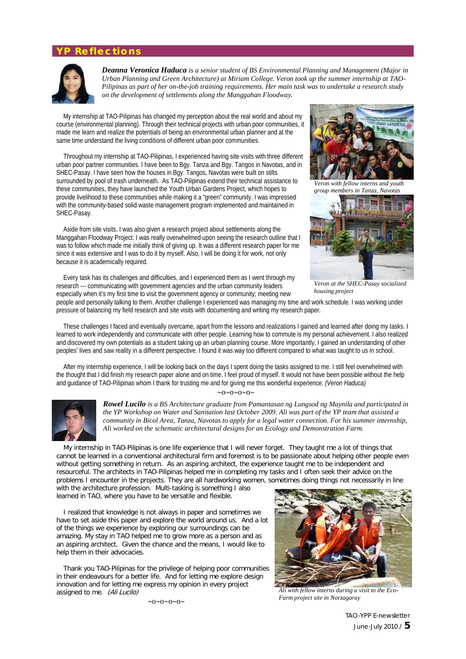#### **YP Reflections**



*Deanna Veronica Haduca is a senior student of BS Environmental Planning and Management (Major in Urban Planning and Green Architecture) at Miriam College. Veron took up the summer internship at TAO-Pilipinas as part of her on-the-job training requirements. Her main task was to undertake a research study on the development of settlements along the Manggahan Floodway.* 

My internship at TAO-Pilipinas has changed my perception about the real world and about my course (environmental planning). Through their technical projects with urban poor communities, it made me learn and realize the potentials of being an environmental urban planner and at the same time understand the living conditions of different urban poor communities.

Throughout my internship at TAO-Pilipinas, I experienced having site visits with three different urban poor partner communities. I have been to Bgy. Tanza and Bgy. Tangos in Navotas, and in SHEC-Pasay. I have seen how the houses in Bgy. Tangos, Navotas were built on stilts surrounded by pool of trash underneath. As TAO-Pilipinas extend their technical assistance to these communities, they have launched the Youth Urban Gardens Project, which hopes to provide livelihood to these communities while making it a "green" community. I was impressed with the community-based solid waste management program implemented and maintained in SHEC-Pasay.

Aside from site visits, I was also given a research project about settlements along the Manggahan Floodway Project. I was really overwhelmed upon seeing the research outline that I was to follow which made me initially think of giving up. It was a different research paper for me since it was extensive and I was to do it by myself. Also, I will be doing it for work, not only because it is academically required.

Every task has its challenges and difficulties, and I experienced them as I went through my research --- communicating with government agencies and the urban community leaders especially when it's my first time to visit the government agency or community; meeting new



*Veron with fellow interns and youth group members in Tanza, Navotas*



*Veron at the SHEC-Pasay socialized housing project*

people and personally talking to them. Another challenge I experienced was managing my time and work schedule. I was working under pressure of balancing my field research and site visits with documenting and writing my research paper.

These challenges I faced and eventually overcame, apart from the lessons and realizations I gained and learned after doing my tasks. I learned to work independently and communicate with other people. Learning how to commute is my personal achievement. I also realized and discovered my own potentials as a student taking up an urban planning course. More importantly, I gained an understanding of other peoples' lives and saw reality in a different perspective. I found it was way too different compared to what was taught to us in school.

After my internship experience, I will be looking back on the days I spent doing the tasks assigned to me. I still feel overwhelmed with the thought that I did finish my research paper alone and on time. I feel proud of myself. It would not have been possible without the help and guidance of TAO-Pilipinas whom I thank for trusting me and for giving me this wonderful experience. *(Veron Haduca)* ∼o∼o∼o∼o∼



*Rowel Lucilo is a BS Architecture graduate from Pamantasan ng Lungsod ng Maynila and participated in the YP Workshop on Water and Sanitation last October 2009. Ali was part of the YP team that assisted a community in Bicol Area, Tanza, Navotas to apply for a legal water connection. For his summer internship, Ali worked on the schematic architectural designs for an Ecology and Demonstration Farm.*

My internship in TAO-Pilipinas is one life experience that I will never forget. They taught me a lot of things that cannot be learned in a conventional architectural firm and foremost is to be passionate about helping other people even without getting something in return. As an aspiring architect, the experience taught me to be independent and resourceful. The architects in TAO-Pilipinas helped me in completing my tasks and I often seek their advice on the problems I encounter in the projects. They are all hardworking women, sometimes doing things not necessarily in line

with the architecture profession. Multi-tasking is something I also learned in TAO, where you have to be versatile and flexible.

I realized that knowledge is not always in paper and sometimes we have to set aside this paper and explore the world around us. And a lot of the things we experience by exploring our surroundings can be amazing. My stay in TAO helped me to grow more as a person and as an aspiring architect. Given the chance and the means, I would like to help them in their advocacies.

Thank you TAO-Pilipinas for the privilege of helping poor communities in their endeavours for a better life. And for letting me explore design innovation and for letting me express my opinion in every project assigned to me. (Ali Lucilo)

∼o∼o∼o∼o∼



*Ali with fellow interns during a visit to the Eco-Farm project site in Norzagaray*

TAO-YPP E-newsletter June-July 2010 / **5**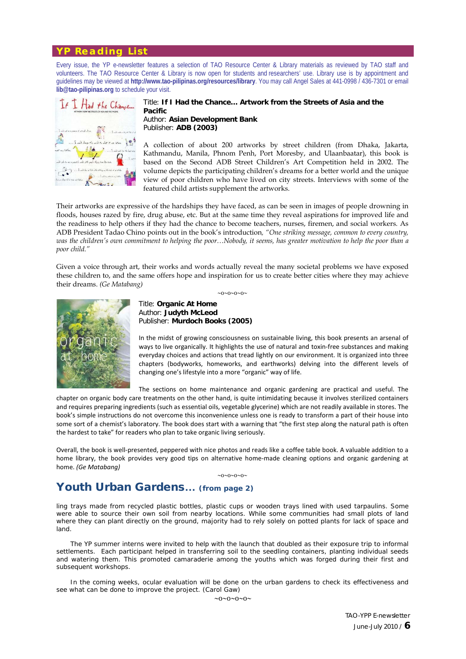#### **YP Reading List**

Every issue, the YP e-newsletter features a selection of TAO Resource Center & Library materials as reviewed by TAO staff and volunteers. The TAO Resource Center & Library is now open for students and researchers' use. Library use is by appointment and guidelines may be viewed at **<http://www.tao-pilipinas.org/resources/library>**. You may call Angel Sales at 441-0998 / 436-7301 or email **[lib@tao-pilipinas.org](mailto:lib@tao-pilipinas.org)** to schedule your visit.



#### Title: **If I Had the Chance… Artwork from the Streets of Asia and the Pacific** Author: **Asian Development Bank** Publisher: **ADB (2003)**

A collection of about 200 artworks by street children (from Dhaka, Jakarta, Kathmandu, Manila, Phnom Penh, Port Moresby, and Ulaanbaatar), this book is based on the Second ADB Street Children's Art Competition held in 2002. The volume depicts the participating children's dreams for a better world and the unique view of poor children who have lived on city streets. Interviews with some of the featured child artists supplement the artworks.

Their artworks are expressive of the hardships they have faced, as can be seen in images of people drowning in floods, houses razed by fire, drug abuse, etc. But at the same time they reveal aspirations for improved life and the readiness to help others if they had the chance to become teachers, nurses, firemen, and social workers. As ADB President Tadao Chino points out in the book's introduction*, "One striking message, common to every country, was the children's own commitment to helping the poor…Nobody, it seems, has greater motivation to help the poor than a poor child."*

Given a voice through art, their works and words actually reveal the many societal problems we have exposed these children to, and the same offers hope and inspiration for us to create better cities where they may achieve their dreams. *(Ge Matabang)*

∼o∼o∼o∼o∼



Title: **Organic At Home** Author: **Judyth McLeod** Publisher: **Murdoch Books (2005)**

In the midst of growing consciousness on sustainable living, this book presents an arsenal of ways to live organically. It highlights the use of natural and toxin-free substances and making everyday choices and actions that tread lightly on our environment. It is organized into three chapters (bodyworks, homeworks, and earthworks) delving into the different levels of changing one's lifestyle into a more "organic" way of life.

The sections on home maintenance and organic gardening are practical and useful. The

chapter on organic body care treatments on the other hand, is quite intimidating because it involves sterilized containers and requires preparing ingredients (such as essential oils, vegetable glycerine) which are not readily available in stores. The book's simple instructions do not overcome this inconvenience unless one is ready to transform a part of their house into some sort of a chemist's laboratory. The book does start with a warning that "the first step along the natural path is often the hardest to take" for readers who plan to take organic living seriously.

Overall, the book is well-presented, peppered with nice photos and reads like a coffee table book. A valuable addition to a home library, the book provides very good tips on alternative home-made cleaning options and organic gardening at home. *(Ge Matabang)*

∼o∼o∼o∼o∼

## Youth Urban Gardens**… (from page 2)**

ling trays made from recycled plastic bottles, plastic cups or wooden trays lined with used tarpaulins. Some were able to source their own soil from nearby locations. While some communities had small plots of land where they can plant directly on the ground, majority had to rely solely on potted plants for lack of space and land.

The YP summer interns were invited to help with the launch that doubled as their exposure trip to informal settlements. Each participant helped in transferring soil to the seedling containers, planting individual seeds and watering them. This promoted camaraderie among the youths which was forged during their first and subsequent workshops.

In the coming weeks, ocular evaluation will be done on the urban gardens to check its effectiveness and see what can be done to improve the project. *(Carol Gaw)*

∼o∼o∼o∼o∼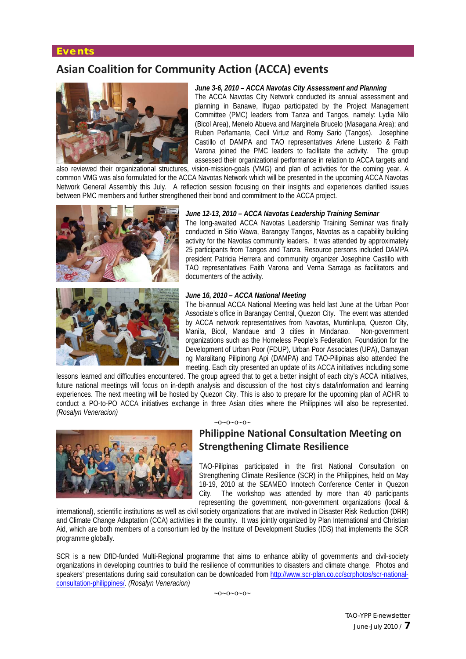### **Events**

## **Asian Coalition for Community Action (ACCA) events**



#### *June 3-6, 2010 – ACCA Navotas City Assessment and Planning*

The ACCA Navotas City Network conducted its annual assessment and planning in Banawe, Ifugao participated by the Project Management Committee (PMC) leaders from Tanza and Tangos, namely: Lydia Nilo (Bicol Area), Menelo Abueva and Marginela Brucelo (Masagana Area); and Ruben Peñamante, Cecil Virtuz and Romy Sario (Tangos). Josephine Castillo of DAMPA and TAO representatives Arlene Lusterio & Faith Varona joined the PMC leaders to facilitate the activity. The group assessed their organizational performance in relation to ACCA targets and

also reviewed their organizational structures, vision-mission-goals (VMG) and plan of activities for the coming year. A common VMG was also formulated for the ACCA Navotas Network which will be presented in the upcoming ACCA Navotas Network General Assembly this July. A reflection session focusing on their insights and experiences clarified issues between PMC members and further strengthened their bond and commitment to the ACCA project.





#### *June 12-13, 2010 – ACCA Navotas Leadership Training Seminar*

The long-awaited ACCA Navotas Leadership Training Seminar was finally conducted in Sitio Wawa, Barangay Tangos, Navotas as a capability building activity for the Navotas community leaders. It was attended by approximately 25 participants from Tangos and Tanza. Resource persons included DAMPA president Patricia Herrera and community organizer Josephine Castillo with TAO representatives Faith Varona and Verna Sarraga as facilitators and documenters of the activity.

#### *June 16, 2010 – ACCA National Meeting*

The bi-annual ACCA National Meeting was held last June at the Urban Poor Associate's office in Barangay Central, Quezon City. The event was attended by ACCA network representatives from Navotas, Muntinlupa, Quezon City, Manila, Bicol, Mandaue and 3 cities in Mindanao. Non-government organizations such as the Homeless People's Federation, Foundation for the Development of Urban Poor (FDUP), Urban Poor Associates (UPA), Damayan ng Maralitang Pilipinong Api (DAMPA) and TAO-Pilipinas also attended the meeting. Each city presented an update of its ACCA initiatives including some

lessons learned and difficulties encountered. The group agreed that to get a better insight of each city's ACCA initiatives, future national meetings will focus on in-depth analysis and discussion of the host city's data/information and learning experiences. The next meeting will be hosted by Quezon City. This is also to prepare for the upcoming plan of ACHR to conduct a PO-to-PO ACCA initiatives exchange in three Asian cities where the Philippines will also be represented. *(Rosalyn Veneracion)*



#### ∼o∼o∼o∼o∼

## **Philippine National Consultation Meeting on Strengthening Climate Resilience**

TAO-Pilipinas participated in the first National Consultation on Strengthening Climate Resilience (SCR) in the Philippines, held on May 18-19, 2010 at the SEAMEO Innotech Conference Center in Quezon City. The workshop was attended by more than 40 participants representing the government, non-government organizations (local &

international), scientific institutions as well as civil society organizations that are involved in Disaster Risk Reduction (DRR) and Climate Change Adaptation (CCA) activities in the country. It was jointly organized by Plan International and Christian Aid, which are both members of a consortium led by the Institute of Development Studies (IDS) that implements the SCR programme globally.

SCR is a new DfID-funded Multi-Regional programme that aims to enhance ability of governments and civil-society organizations in developing countries to build the resilience of communities to disasters and climate change. Photos and speakers' presentations during said consultation can be downloaded fro[m http://www.scr-plan.co.cc/scrphotos/scr-national](http://www.scr-plan.co.cc/scrphotos/scr-national-consultation-philippines/)[consultation-philippines/.](http://www.scr-plan.co.cc/scrphotos/scr-national-consultation-philippines/) *(Rosalyn Veneracion)*

∼o∼o∼o∼o∼